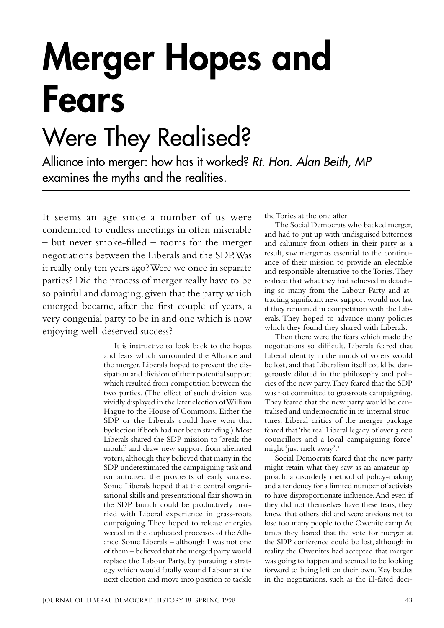## **Merger Hopes and Fears**

## Were They Realised?

Alliance into merger: how has it worked? Rt. Hon. Alan Beith, MP examines the myths and the realities.

It seems an age since a number of us were condemned to endless meetings in often miserable – but never smoke-filled – rooms for the merger negotiations between the Liberals and the SDP. Was it really only ten years ago? Were we once in separate parties? Did the process of merger really have to be so painful and damaging, given that the party which emerged became, after the first couple of years, a very congenial party to be in and one which is now enjoying well-deserved success?

> It is instructive to look back to the hopes and fears which surrounded the Alliance and the merger. Liberals hoped to prevent the dissipation and division of their potential support which resulted from competition between the two parties. (The effect of such division was vividly displayed in the later election of William Hague to the House of Commons. Either the SDP or the Liberals could have won that byelection if both had not been standing.) Most Liberals shared the SDP mission to 'break the mould' and draw new support from alienated voters, although they believed that many in the SDP underestimated the campaigning task and romanticised the prospects of early success. Some Liberals hoped that the central organisational skills and presentational flair shown in the SDP launch could be productively married with Liberal experience in grass-roots campaigning. They hoped to release energies wasted in the duplicated processes of the Alliance. Some Liberals – although I was not one of them – believed that the merged party would replace the Labour Party, by pursuing a strategy which would fatally wound Labour at the next election and move into position to tackle

the Tories at the one after.

The Social Democrats who backed merger, and had to put up with undisguised bitterness and calumny from others in their party as a result, saw merger as essential to the continuance of their mission to provide an electable and responsible alternative to the Tories. They realised that what they had achieved in detaching so many from the Labour Party and attracting significant new support would not last if they remained in competition with the Liberals. They hoped to advance many policies which they found they shared with Liberals.

Then there were the fears which made the negotiations so difficult. Liberals feared that Liberal identity in the minds of voters would be lost, and that Liberalism itself could be dangerously diluted in the philosophy and policies of the new party. They feared that the SDP was not committed to grassroots campaigning. They feared that the new party would be centralised and undemocratic in its internal structures. Liberal critics of the merger package feared that 'the real Liberal legacy of over 3,000 councillors and a local campaigning force' might 'just melt away'.

Social Democrats feared that the new party might retain what they saw as an amateur approach, a disorderly method of policy-making and a tendency for a limited number of activists to have disproportionate influence. And even if they did not themselves have these fears, they knew that others did and were anxious not to lose too many people to the Owenite camp. At times they feared that the vote for merger at the SDP conference could be lost, although in reality the Owenites had accepted that merger was going to happen and seemed to be looking forward to being left on their own. Key battles in the negotiations, such as the ill-fated deci